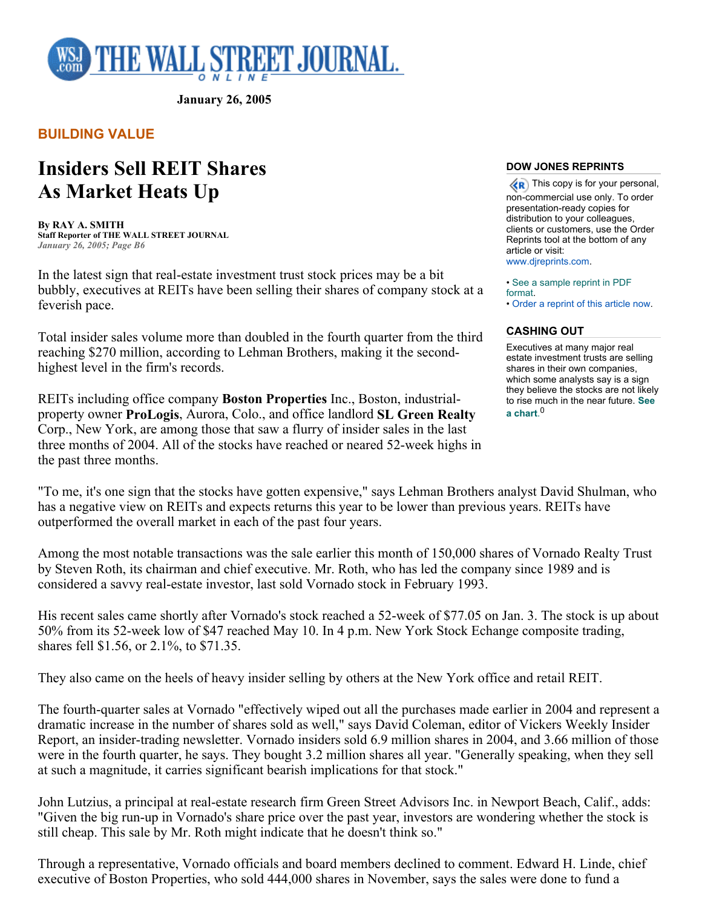

**January 26, 2005** 

# **BUILDING VALUE**

# **Insiders Sell REIT Shares As Market Heats Up**

**By RAY A. SMITH Staff Reporter of THE WALL STREET JOURNAL** *January 26, 2005; Page B6*

In the latest sign that real-estate investment trust stock prices may be a bit bubbly, executives at REITs have been selling their shares of company stock at a feverish pace.

Total insider sales volume more than doubled in the fourth quarter from the third reaching \$270 million, according to Lehman Brothers, making it the secondhighest level in the firm's records.

REITs including office company **Boston Properties** Inc., Boston, industrialproperty owner **ProLogis**, Aurora, Colo., and office landlord **SL Green Realty** Corp., New York, are among those that saw a flurry of insider sales in the last three months of 2004. All of the stocks have reached or neared 52-week highs in the past three months.

### **DOW JONES REPRINTS**

 $\langle \langle \mathbf{R} \rangle$  This copy is for your personal, non-commercial use only. To order presentation-ready copies for distribution to your colleagues, clients or customers, use the Order Reprints tool at the bottom of any article or visit: www.djreprints.com.

• See a sample reprint in PDF format. • Order a reprint of this article now.

## **CASHING OUT**

Executives at many major real estate investment trusts are selling shares in their own companies, which some analysts say is a sign they believe the stocks are not likely to rise much in the near future. **See a chart**. 0

"To me, it's one sign that the stocks have gotten expensive," says Lehman Brothers analyst David Shulman, who has a negative view on REITs and expects returns this year to be lower than previous years. REITs have outperformed the overall market in each of the past four years.

Among the most notable transactions was the sale earlier this month of 150,000 shares of Vornado Realty Trust by Steven Roth, its chairman and chief executive. Mr. Roth, who has led the company since 1989 and is considered a savvy real-estate investor, last sold Vornado stock in February 1993.

His recent sales came shortly after Vornado's stock reached a 52-week of \$77.05 on Jan. 3. The stock is up about 50% from its 52-week low of \$47 reached May 10. In 4 p.m. New York Stock Echange composite trading, shares fell \$1.56, or 2.1%, to \$71.35.

They also came on the heels of heavy insider selling by others at the New York office and retail REIT.

The fourth-quarter sales at Vornado "effectively wiped out all the purchases made earlier in 2004 and represent a dramatic increase in the number of shares sold as well," says David Coleman, editor of Vickers Weekly Insider Report, an insider-trading newsletter. Vornado insiders sold 6.9 million shares in 2004, and 3.66 million of those were in the fourth quarter, he says. They bought 3.2 million shares all year. "Generally speaking, when they sell at such a magnitude, it carries significant bearish implications for that stock."

John Lutzius, a principal at real-estate research firm Green Street Advisors Inc. in Newport Beach, Calif., adds: "Given the big run-up in Vornado's share price over the past year, investors are wondering whether the stock is still cheap. This sale by Mr. Roth might indicate that he doesn't think so."

Through a representative, Vornado officials and board members declined to comment. Edward H. Linde, chief executive of Boston Properties, who sold 444,000 shares in November, says the sales were done to fund a